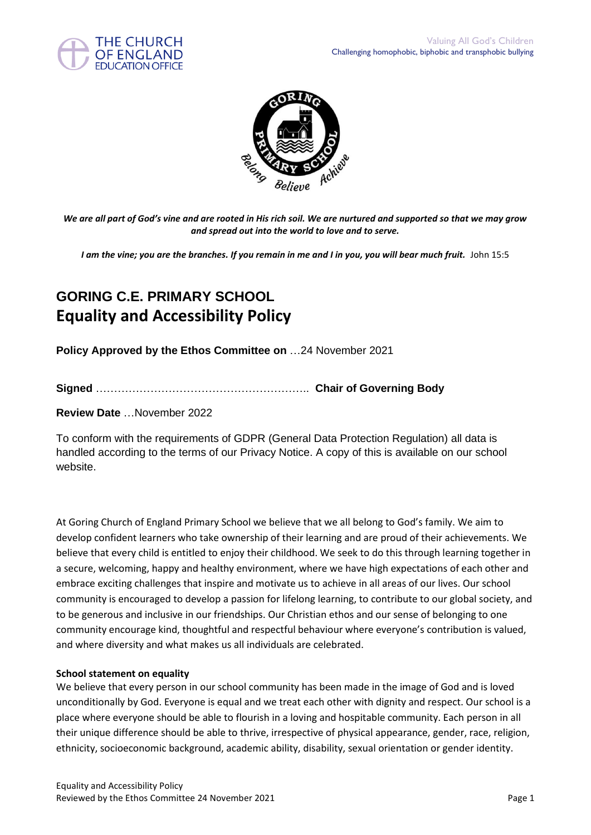



*We are all part of God's vine and are rooted in His rich soil. We are nurtured and supported so that we may grow and spread out into the world to love and to serve.*

*I am the vine; you are the branches. If you remain in me and I in you, you will bear much fruit.* John 15:5

# **GORING C.E. PRIMARY SCHOOL Equality and Accessibility Policy**

**Policy Approved by the Ethos Committee on** …24 November 2021

**Signed** ………………………………………………….. **Chair of Governing Body**

**Review Date** …November 2022

To conform with the requirements of GDPR (General Data Protection Regulation) all data is handled according to the terms of our Privacy Notice. A copy of this is available on our school website.

At Goring Church of England Primary School we believe that we all belong to God's family. We aim to develop confident learners who take ownership of their learning and are proud of their achievements. We believe that every child is entitled to enjoy their childhood. We seek to do this through learning together in a secure, welcoming, happy and healthy environment, where we have high expectations of each other and embrace exciting challenges that inspire and motivate us to achieve in all areas of our lives. Our school community is encouraged to develop a passion for lifelong learning, to contribute to our global society, and to be generous and inclusive in our friendships. Our Christian ethos and our sense of belonging to one community encourage kind, thoughtful and respectful behaviour where everyone's contribution is valued, and where diversity and what makes us all individuals are celebrated.

#### **School statement on equality**

We believe that every person in our school community has been made in the image of God and is loved unconditionally by God. Everyone is equal and we treat each other with dignity and respect. Our school is a place where everyone should be able to flourish in a loving and hospitable community. Each person in all their unique difference should be able to thrive, irrespective of physical appearance, gender, race, religion, ethnicity, socioeconomic background, academic ability, disability, sexual orientation or gender identity.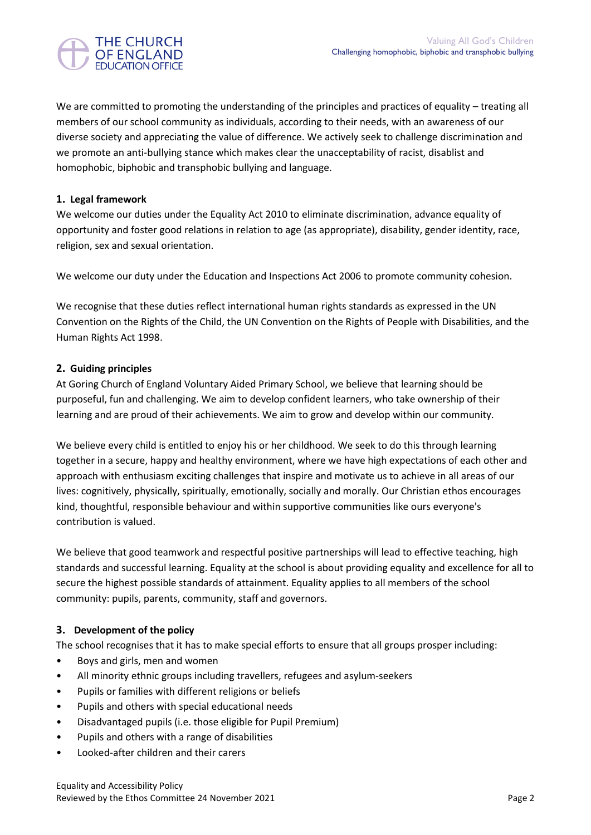

We are committed to promoting the understanding of the principles and practices of equality – treating all members of our school community as individuals, according to their needs, with an awareness of our diverse society and appreciating the value of difference. We actively seek to challenge discrimination and we promote an anti-bullying stance which makes clear the unacceptability of racist, disablist and homophobic, biphobic and transphobic bullying and language.

## **1. Legal framework**

We welcome our duties under the Equality Act 2010 to eliminate discrimination, advance equality of opportunity and foster good relations in relation to age (as appropriate), disability, gender identity, race, religion, sex and sexual orientation.

We welcome our duty under the Education and Inspections Act 2006 to promote community cohesion.

We recognise that these duties reflect international human rights standards as expressed in the UN Convention on the Rights of the Child, the UN Convention on the Rights of People with Disabilities, and the Human Rights Act 1998.

## **2. Guiding principles**

At Goring Church of England Voluntary Aided Primary School, we believe that learning should be purposeful, fun and challenging. We aim to develop confident learners, who take ownership of their learning and are proud of their achievements. We aim to grow and develop within our community.

We believe every child is entitled to enjoy his or her childhood. We seek to do this through learning together in a secure, happy and healthy environment, where we have high expectations of each other and approach with enthusiasm exciting challenges that inspire and motivate us to achieve in all areas of our lives: cognitively, physically, spiritually, emotionally, socially and morally. Our Christian ethos encourages kind, thoughtful, responsible behaviour and within supportive communities like ours everyone's contribution is valued.

We believe that good teamwork and respectful positive partnerships will lead to effective teaching, high standards and successful learning. Equality at the school is about providing equality and excellence for all to secure the highest possible standards of attainment. Equality applies to all members of the school community: pupils, parents, community, staff and governors.

## **3. Development of the policy**

The school recognises that it has to make special efforts to ensure that all groups prosper including:

- Boys and girls, men and women
- All minority ethnic groups including travellers, refugees and asylum-seekers
- Pupils or families with different religions or beliefs
- Pupils and others with special educational needs
- Disadvantaged pupils (i.e. those eligible for Pupil Premium)
- Pupils and others with a range of disabilities
- Looked-after children and their carers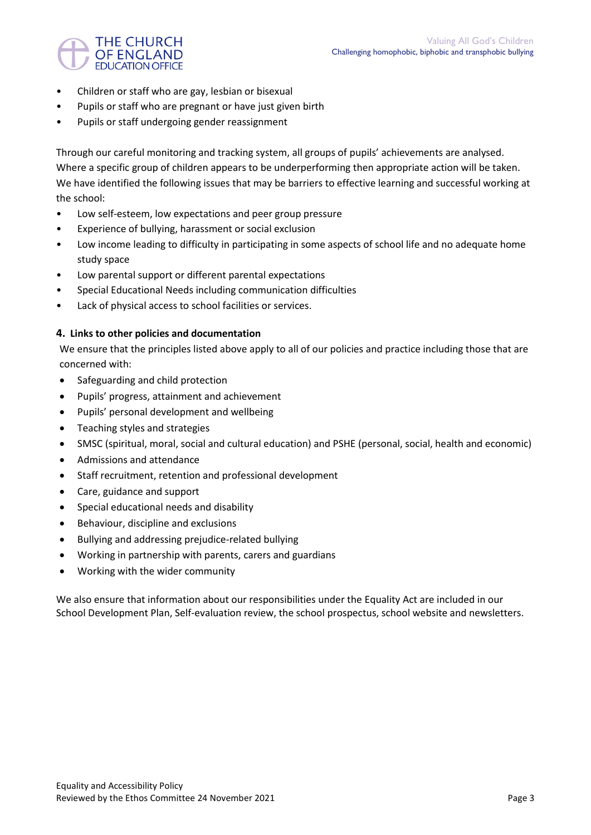

- Children or staff who are gay, lesbian or bisexual
- Pupils or staff who are pregnant or have just given birth
- Pupils or staff undergoing gender reassignment

Through our careful monitoring and tracking system, all groups of pupils' achievements are analysed. Where a specific group of children appears to be underperforming then appropriate action will be taken. We have identified the following issues that may be barriers to effective learning and successful working at the school:

- Low self-esteem, low expectations and peer group pressure
- Experience of bullying, harassment or social exclusion
- Low income leading to difficulty in participating in some aspects of school life and no adequate home study space
- Low parental support or different parental expectations
- Special Educational Needs including communication difficulties
- Lack of physical access to school facilities or services.

## **4. Links to other policies and documentation**

We ensure that the principles listed above apply to all of our policies and practice including those that are concerned with:

- Safeguarding and child protection
- Pupils' progress, attainment and achievement
- Pupils' personal development and wellbeing
- Teaching styles and strategies
- SMSC (spiritual, moral, social and cultural education) and PSHE (personal, social, health and economic)
- Admissions and attendance
- Staff recruitment, retention and professional development
- Care, guidance and support
- Special educational needs and disability
- Behaviour, discipline and exclusions
- Bullying and addressing prejudice-related bullying
- Working in partnership with parents, carers and guardians
- Working with the wider community

We also ensure that information about our responsibilities under the Equality Act are included in our School Development Plan, Self-evaluation review, the school prospectus, school website and newsletters.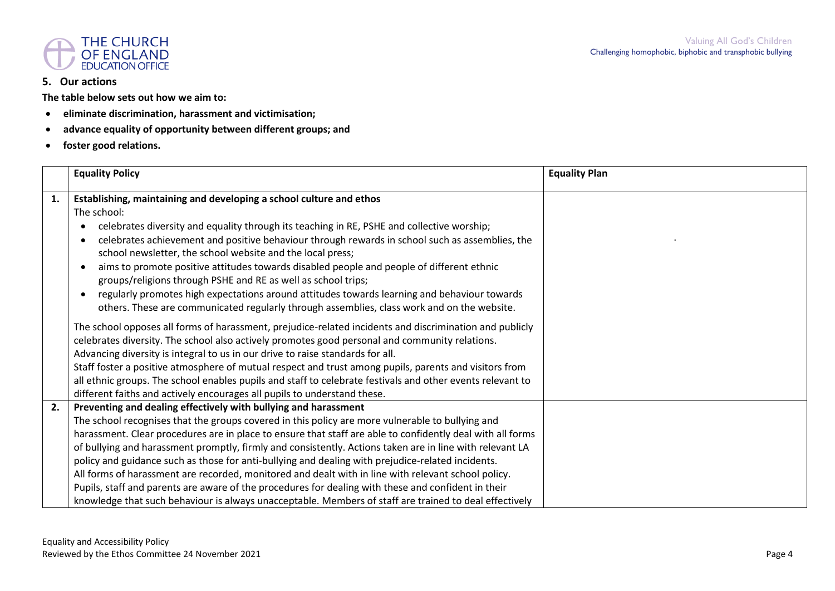

#### **5. Our actions**

**The table below sets out how we aim to:**

- **eliminate discrimination, harassment and victimisation;**
- **advance equality of opportunity between different groups; and**
- **foster good relations.**

|    | <b>Equality Policy</b>                                                                                     | <b>Equality Plan</b> |
|----|------------------------------------------------------------------------------------------------------------|----------------------|
| 1. | Establishing, maintaining and developing a school culture and ethos                                        |                      |
|    | The school:                                                                                                |                      |
|    | celebrates diversity and equality through its teaching in RE, PSHE and collective worship;                 |                      |
|    | celebrates achievement and positive behaviour through rewards in school such as assemblies, the            |                      |
|    | school newsletter, the school website and the local press;                                                 |                      |
|    | aims to promote positive attitudes towards disabled people and people of different ethnic                  |                      |
|    | groups/religions through PSHE and RE as well as school trips;                                              |                      |
|    | regularly promotes high expectations around attitudes towards learning and behaviour towards               |                      |
|    | others. These are communicated regularly through assemblies, class work and on the website.                |                      |
|    | The school opposes all forms of harassment, prejudice-related incidents and discrimination and publicly    |                      |
|    | celebrates diversity. The school also actively promotes good personal and community relations.             |                      |
|    | Advancing diversity is integral to us in our drive to raise standards for all.                             |                      |
|    | Staff foster a positive atmosphere of mutual respect and trust among pupils, parents and visitors from     |                      |
|    | all ethnic groups. The school enables pupils and staff to celebrate festivals and other events relevant to |                      |
|    | different faiths and actively encourages all pupils to understand these.                                   |                      |
| 2. | Preventing and dealing effectively with bullying and harassment                                            |                      |
|    | The school recognises that the groups covered in this policy are more vulnerable to bullying and           |                      |
|    | harassment. Clear procedures are in place to ensure that staff are able to confidently deal with all forms |                      |
|    | of bullying and harassment promptly, firmly and consistently. Actions taken are in line with relevant LA   |                      |
|    | policy and guidance such as those for anti-bullying and dealing with prejudice-related incidents.          |                      |
|    | All forms of harassment are recorded, monitored and dealt with in line with relevant school policy.        |                      |
|    | Pupils, staff and parents are aware of the procedures for dealing with these and confident in their        |                      |
|    | knowledge that such behaviour is always unacceptable. Members of staff are trained to deal effectively     |                      |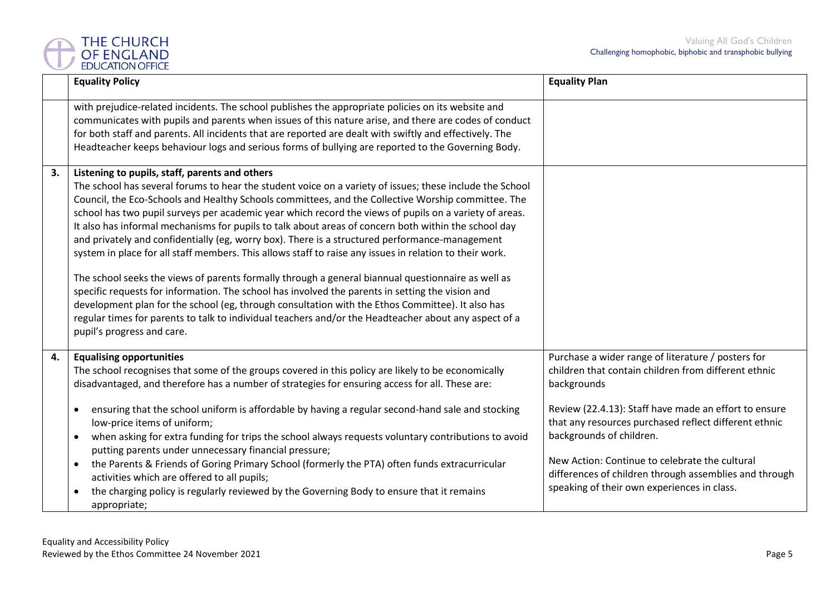

|    | <b>Equality Policy</b>                                                                                                                                                                                                                                                                                                                                                                                                                                                                                                                                                                                                                                                                                                                                                                                                                                                                                                                                                                                                                                                                                                                               | <b>Equality Plan</b>                                                                                                                                                                                                                                                                                                                                                                                                               |
|----|------------------------------------------------------------------------------------------------------------------------------------------------------------------------------------------------------------------------------------------------------------------------------------------------------------------------------------------------------------------------------------------------------------------------------------------------------------------------------------------------------------------------------------------------------------------------------------------------------------------------------------------------------------------------------------------------------------------------------------------------------------------------------------------------------------------------------------------------------------------------------------------------------------------------------------------------------------------------------------------------------------------------------------------------------------------------------------------------------------------------------------------------------|------------------------------------------------------------------------------------------------------------------------------------------------------------------------------------------------------------------------------------------------------------------------------------------------------------------------------------------------------------------------------------------------------------------------------------|
|    | with prejudice-related incidents. The school publishes the appropriate policies on its website and<br>communicates with pupils and parents when issues of this nature arise, and there are codes of conduct<br>for both staff and parents. All incidents that are reported are dealt with swiftly and effectively. The<br>Headteacher keeps behaviour logs and serious forms of bullying are reported to the Governing Body.                                                                                                                                                                                                                                                                                                                                                                                                                                                                                                                                                                                                                                                                                                                         |                                                                                                                                                                                                                                                                                                                                                                                                                                    |
| 3. | Listening to pupils, staff, parents and others<br>The school has several forums to hear the student voice on a variety of issues; these include the School<br>Council, the Eco-Schools and Healthy Schools committees, and the Collective Worship committee. The<br>school has two pupil surveys per academic year which record the views of pupils on a variety of areas.<br>It also has informal mechanisms for pupils to talk about areas of concern both within the school day<br>and privately and confidentially (eg, worry box). There is a structured performance-management<br>system in place for all staff members. This allows staff to raise any issues in relation to their work.<br>The school seeks the views of parents formally through a general biannual questionnaire as well as<br>specific requests for information. The school has involved the parents in setting the vision and<br>development plan for the school (eg, through consultation with the Ethos Committee). It also has<br>regular times for parents to talk to individual teachers and/or the Headteacher about any aspect of a<br>pupil's progress and care. |                                                                                                                                                                                                                                                                                                                                                                                                                                    |
| 4. | <b>Equalising opportunities</b><br>The school recognises that some of the groups covered in this policy are likely to be economically<br>disadvantaged, and therefore has a number of strategies for ensuring access for all. These are:<br>ensuring that the school uniform is affordable by having a regular second-hand sale and stocking<br>$\bullet$<br>low-price items of uniform;<br>when asking for extra funding for trips the school always requests voluntary contributions to avoid<br>$\bullet$<br>putting parents under unnecessary financial pressure;<br>the Parents & Friends of Goring Primary School (formerly the PTA) often funds extracurricular<br>$\bullet$<br>activities which are offered to all pupils;<br>the charging policy is regularly reviewed by the Governing Body to ensure that it remains<br>$\bullet$<br>appropriate;                                                                                                                                                                                                                                                                                         | Purchase a wider range of literature / posters for<br>children that contain children from different ethnic<br>backgrounds<br>Review (22.4.13): Staff have made an effort to ensure<br>that any resources purchased reflect different ethnic<br>backgrounds of children.<br>New Action: Continue to celebrate the cultural<br>differences of children through assemblies and through<br>speaking of their own experiences in class. |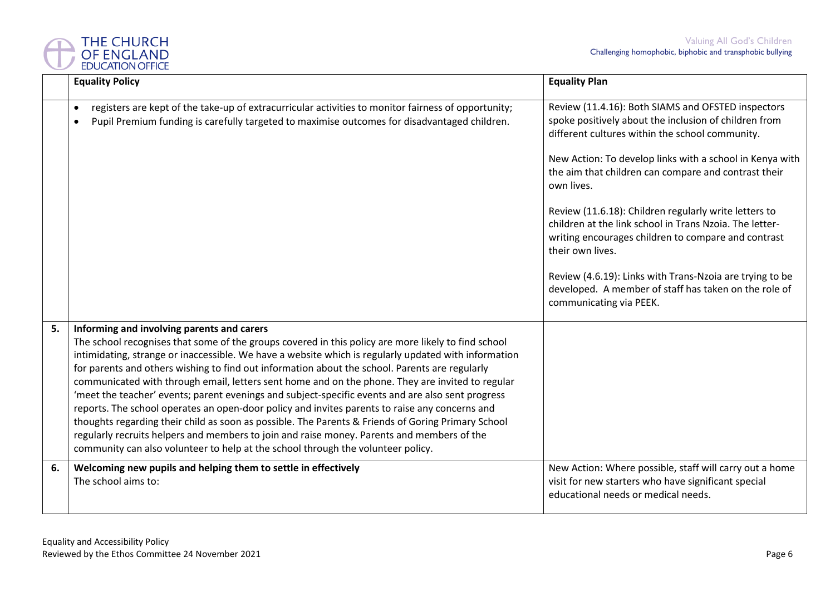

|    | <b>Equality Policy</b>                                                                                                                                                                                                                                                                                                                                                                                                                                                                                                                                                                                                                                                                                                                                                                                                                                                                                                                                        | <b>Equality Plan</b>                                                                                                                                                                                                                                                                                                                                                                                                                                                                                                                                                                                                                            |
|----|---------------------------------------------------------------------------------------------------------------------------------------------------------------------------------------------------------------------------------------------------------------------------------------------------------------------------------------------------------------------------------------------------------------------------------------------------------------------------------------------------------------------------------------------------------------------------------------------------------------------------------------------------------------------------------------------------------------------------------------------------------------------------------------------------------------------------------------------------------------------------------------------------------------------------------------------------------------|-------------------------------------------------------------------------------------------------------------------------------------------------------------------------------------------------------------------------------------------------------------------------------------------------------------------------------------------------------------------------------------------------------------------------------------------------------------------------------------------------------------------------------------------------------------------------------------------------------------------------------------------------|
|    | registers are kept of the take-up of extracurricular activities to monitor fairness of opportunity;<br>$\bullet$<br>Pupil Premium funding is carefully targeted to maximise outcomes for disadvantaged children.<br>$\bullet$                                                                                                                                                                                                                                                                                                                                                                                                                                                                                                                                                                                                                                                                                                                                 | Review (11.4.16): Both SIAMS and OFSTED inspectors<br>spoke positively about the inclusion of children from<br>different cultures within the school community.<br>New Action: To develop links with a school in Kenya with<br>the aim that children can compare and contrast their<br>own lives.<br>Review (11.6.18): Children regularly write letters to<br>children at the link school in Trans Nzoia. The letter-<br>writing encourages children to compare and contrast<br>their own lives.<br>Review (4.6.19): Links with Trans-Nzoia are trying to be<br>developed. A member of staff has taken on the role of<br>communicating via PEEK. |
| 5. | Informing and involving parents and carers<br>The school recognises that some of the groups covered in this policy are more likely to find school<br>intimidating, strange or inaccessible. We have a website which is regularly updated with information<br>for parents and others wishing to find out information about the school. Parents are regularly<br>communicated with through email, letters sent home and on the phone. They are invited to regular<br>meet the teacher' events; parent evenings and subject-specific events and are also sent progress<br>reports. The school operates an open-door policy and invites parents to raise any concerns and<br>thoughts regarding their child as soon as possible. The Parents & Friends of Goring Primary School<br>regularly recruits helpers and members to join and raise money. Parents and members of the<br>community can also volunteer to help at the school through the volunteer policy. |                                                                                                                                                                                                                                                                                                                                                                                                                                                                                                                                                                                                                                                 |
| 6. | Welcoming new pupils and helping them to settle in effectively<br>The school aims to:                                                                                                                                                                                                                                                                                                                                                                                                                                                                                                                                                                                                                                                                                                                                                                                                                                                                         | New Action: Where possible, staff will carry out a home<br>visit for new starters who have significant special<br>educational needs or medical needs.                                                                                                                                                                                                                                                                                                                                                                                                                                                                                           |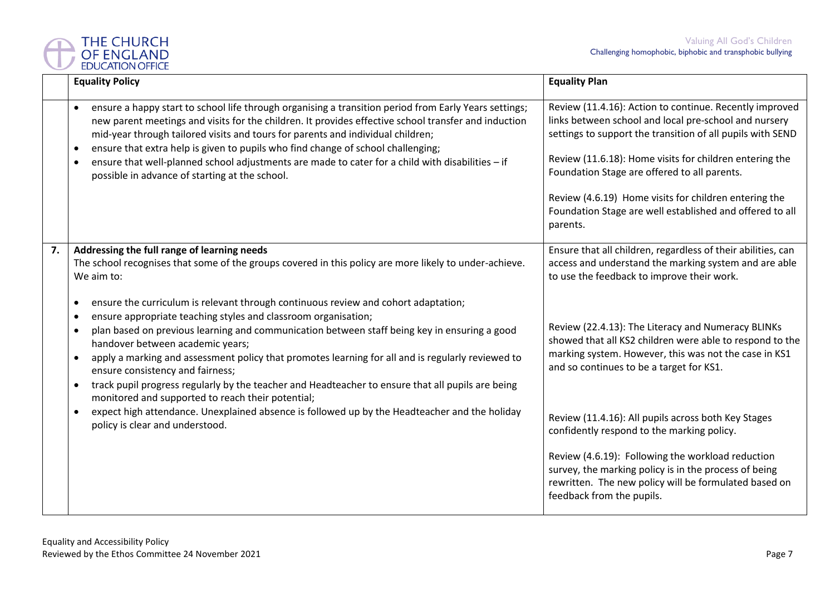

|    | <b>Equality Policy</b>                                                                                                                                                                                                                                                                                                                                                                                                                                                                                                                                                                                                                                       | <b>Equality Plan</b>                                                                                                                                                                                                                                                                                                                                                                                                       |  |  |
|----|--------------------------------------------------------------------------------------------------------------------------------------------------------------------------------------------------------------------------------------------------------------------------------------------------------------------------------------------------------------------------------------------------------------------------------------------------------------------------------------------------------------------------------------------------------------------------------------------------------------------------------------------------------------|----------------------------------------------------------------------------------------------------------------------------------------------------------------------------------------------------------------------------------------------------------------------------------------------------------------------------------------------------------------------------------------------------------------------------|--|--|
|    | ensure a happy start to school life through organising a transition period from Early Years settings;<br>$\bullet$<br>new parent meetings and visits for the children. It provides effective school transfer and induction<br>mid-year through tailored visits and tours for parents and individual children;<br>ensure that extra help is given to pupils who find change of school challenging;<br>$\bullet$<br>ensure that well-planned school adjustments are made to cater for a child with disabilities - if<br>$\bullet$<br>possible in advance of starting at the school.                                                                            | Review (11.4.16): Action to continue. Recently improved<br>links between school and local pre-school and nursery<br>settings to support the transition of all pupils with SEND<br>Review (11.6.18): Home visits for children entering the<br>Foundation Stage are offered to all parents.<br>Review (4.6.19) Home visits for children entering the<br>Foundation Stage are well established and offered to all<br>parents. |  |  |
| 7. | Addressing the full range of learning needs<br>The school recognises that some of the groups covered in this policy are more likely to under-achieve.<br>We aim to:                                                                                                                                                                                                                                                                                                                                                                                                                                                                                          | Ensure that all children, regardless of their abilities, can<br>access and understand the marking system and are able<br>to use the feedback to improve their work.                                                                                                                                                                                                                                                        |  |  |
|    | ensure the curriculum is relevant through continuous review and cohort adaptation;<br>$\bullet$<br>ensure appropriate teaching styles and classroom organisation;<br>$\bullet$<br>plan based on previous learning and communication between staff being key in ensuring a good<br>$\bullet$<br>handover between academic years;<br>apply a marking and assessment policy that promotes learning for all and is regularly reviewed to<br>$\bullet$<br>ensure consistency and fairness;<br>track pupil progress regularly by the teacher and Headteacher to ensure that all pupils are being<br>$\bullet$<br>monitored and supported to reach their potential; | Review (22.4.13): The Literacy and Numeracy BLINKs<br>showed that all KS2 children were able to respond to the<br>marking system. However, this was not the case in KS1<br>and so continues to be a target for KS1.                                                                                                                                                                                                        |  |  |
|    | expect high attendance. Unexplained absence is followed up by the Headteacher and the holiday<br>٠<br>policy is clear and understood.                                                                                                                                                                                                                                                                                                                                                                                                                                                                                                                        | Review (11.4.16): All pupils across both Key Stages<br>confidently respond to the marking policy.                                                                                                                                                                                                                                                                                                                          |  |  |
|    |                                                                                                                                                                                                                                                                                                                                                                                                                                                                                                                                                                                                                                                              | Review (4.6.19): Following the workload reduction<br>survey, the marking policy is in the process of being<br>rewritten. The new policy will be formulated based on<br>feedback from the pupils.                                                                                                                                                                                                                           |  |  |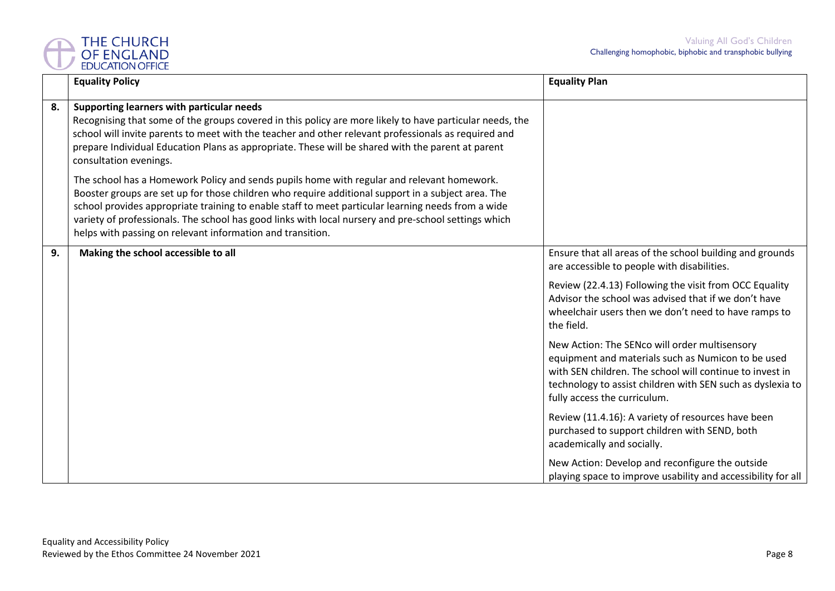

|    | <b>Equality Policy</b>                                                                                                                                                                                                                                                                                                                                                                                                                                                       | <b>Equality Plan</b>                                                                                                                                                                                                                                          |
|----|------------------------------------------------------------------------------------------------------------------------------------------------------------------------------------------------------------------------------------------------------------------------------------------------------------------------------------------------------------------------------------------------------------------------------------------------------------------------------|---------------------------------------------------------------------------------------------------------------------------------------------------------------------------------------------------------------------------------------------------------------|
| 8. | Supporting learners with particular needs<br>Recognising that some of the groups covered in this policy are more likely to have particular needs, the<br>school will invite parents to meet with the teacher and other relevant professionals as required and<br>prepare Individual Education Plans as appropriate. These will be shared with the parent at parent<br>consultation evenings.                                                                                 |                                                                                                                                                                                                                                                               |
|    | The school has a Homework Policy and sends pupils home with regular and relevant homework.<br>Booster groups are set up for those children who require additional support in a subject area. The<br>school provides appropriate training to enable staff to meet particular learning needs from a wide<br>variety of professionals. The school has good links with local nursery and pre-school settings which<br>helps with passing on relevant information and transition. |                                                                                                                                                                                                                                                               |
| 9. | Making the school accessible to all                                                                                                                                                                                                                                                                                                                                                                                                                                          | Ensure that all areas of the school building and grounds<br>are accessible to people with disabilities.                                                                                                                                                       |
|    |                                                                                                                                                                                                                                                                                                                                                                                                                                                                              | Review (22.4.13) Following the visit from OCC Equality<br>Advisor the school was advised that if we don't have<br>wheelchair users then we don't need to have ramps to<br>the field.                                                                          |
|    |                                                                                                                                                                                                                                                                                                                                                                                                                                                                              | New Action: The SENco will order multisensory<br>equipment and materials such as Numicon to be used<br>with SEN children. The school will continue to invest in<br>technology to assist children with SEN such as dyslexia to<br>fully access the curriculum. |
|    |                                                                                                                                                                                                                                                                                                                                                                                                                                                                              | Review (11.4.16): A variety of resources have been<br>purchased to support children with SEND, both<br>academically and socially.                                                                                                                             |
|    |                                                                                                                                                                                                                                                                                                                                                                                                                                                                              | New Action: Develop and reconfigure the outside<br>playing space to improve usability and accessibility for all                                                                                                                                               |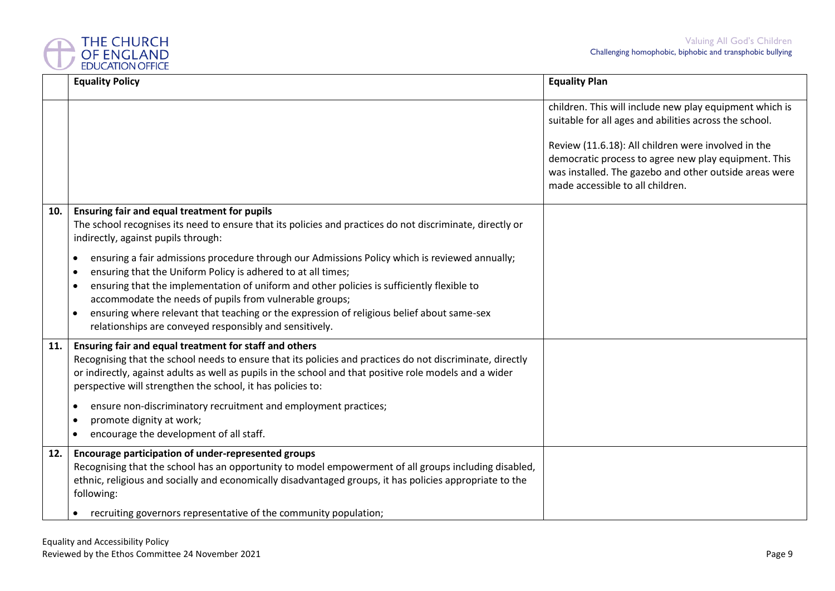

|     | <b>Equality Policy</b>                                                                                                                                                                                                                                                                                                                                                                                                                                                                                  | <b>Equality Plan</b>                                                                                                                                                                                                                                                                                                           |
|-----|---------------------------------------------------------------------------------------------------------------------------------------------------------------------------------------------------------------------------------------------------------------------------------------------------------------------------------------------------------------------------------------------------------------------------------------------------------------------------------------------------------|--------------------------------------------------------------------------------------------------------------------------------------------------------------------------------------------------------------------------------------------------------------------------------------------------------------------------------|
|     |                                                                                                                                                                                                                                                                                                                                                                                                                                                                                                         | children. This will include new play equipment which is<br>suitable for all ages and abilities across the school.<br>Review (11.6.18): All children were involved in the<br>democratic process to agree new play equipment. This<br>was installed. The gazebo and other outside areas were<br>made accessible to all children. |
| 10. | Ensuring fair and equal treatment for pupils<br>The school recognises its need to ensure that its policies and practices do not discriminate, directly or<br>indirectly, against pupils through:                                                                                                                                                                                                                                                                                                        |                                                                                                                                                                                                                                                                                                                                |
|     | ensuring a fair admissions procedure through our Admissions Policy which is reviewed annually;<br>٠<br>ensuring that the Uniform Policy is adhered to at all times;<br>٠<br>ensuring that the implementation of uniform and other policies is sufficiently flexible to<br>accommodate the needs of pupils from vulnerable groups;<br>ensuring where relevant that teaching or the expression of religious belief about same-sex<br>$\bullet$<br>relationships are conveyed responsibly and sensitively. |                                                                                                                                                                                                                                                                                                                                |
| 11. | Ensuring fair and equal treatment for staff and others<br>Recognising that the school needs to ensure that its policies and practices do not discriminate, directly<br>or indirectly, against adults as well as pupils in the school and that positive role models and a wider<br>perspective will strengthen the school, it has policies to:                                                                                                                                                           |                                                                                                                                                                                                                                                                                                                                |
|     | ensure non-discriminatory recruitment and employment practices;<br>٠<br>promote dignity at work;<br>$\bullet$<br>encourage the development of all staff.<br>$\bullet$                                                                                                                                                                                                                                                                                                                                   |                                                                                                                                                                                                                                                                                                                                |
| 12. | Encourage participation of under-represented groups<br>Recognising that the school has an opportunity to model empowerment of all groups including disabled,<br>ethnic, religious and socially and economically disadvantaged groups, it has policies appropriate to the<br>following:                                                                                                                                                                                                                  |                                                                                                                                                                                                                                                                                                                                |
|     | recruiting governors representative of the community population;                                                                                                                                                                                                                                                                                                                                                                                                                                        |                                                                                                                                                                                                                                                                                                                                |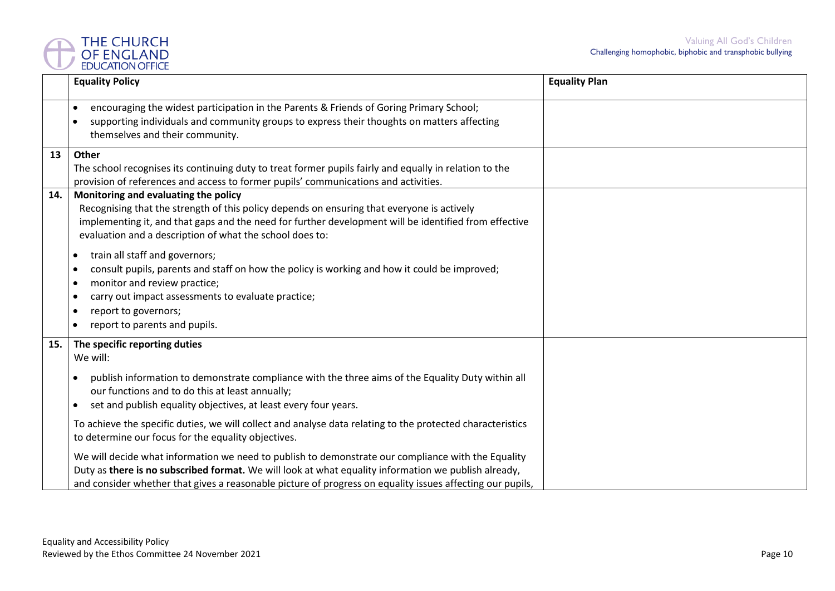

|     | <b>Equality Policy</b>                                                                                                                                                                                                                                                                                                  | <b>Equality Plan</b> |
|-----|-------------------------------------------------------------------------------------------------------------------------------------------------------------------------------------------------------------------------------------------------------------------------------------------------------------------------|----------------------|
|     | encouraging the widest participation in the Parents & Friends of Goring Primary School;<br>$\bullet$<br>supporting individuals and community groups to express their thoughts on matters affecting<br>$\bullet$<br>themselves and their community.                                                                      |                      |
| 13  | Other<br>The school recognises its continuing duty to treat former pupils fairly and equally in relation to the<br>provision of references and access to former pupils' communications and activities.                                                                                                                  |                      |
| 14. | Monitoring and evaluating the policy<br>Recognising that the strength of this policy depends on ensuring that everyone is actively<br>implementing it, and that gaps and the need for further development will be identified from effective<br>evaluation and a description of what the school does to:                 |                      |
|     | train all staff and governors;<br>$\bullet$<br>consult pupils, parents and staff on how the policy is working and how it could be improved;<br>$\bullet$<br>monitor and review practice;<br>$\bullet$<br>carry out impact assessments to evaluate practice;<br>$\bullet$<br>report to governors;<br>$\bullet$           |                      |
|     | report to parents and pupils.<br>$\bullet$                                                                                                                                                                                                                                                                              |                      |
| 15. | The specific reporting duties<br>We will:                                                                                                                                                                                                                                                                               |                      |
|     | publish information to demonstrate compliance with the three aims of the Equality Duty within all<br>our functions and to do this at least annually;<br>set and publish equality objectives, at least every four years.<br>$\bullet$                                                                                    |                      |
|     | To achieve the specific duties, we will collect and analyse data relating to the protected characteristics<br>to determine our focus for the equality objectives.                                                                                                                                                       |                      |
|     | We will decide what information we need to publish to demonstrate our compliance with the Equality<br>Duty as there is no subscribed format. We will look at what equality information we publish already,<br>and consider whether that gives a reasonable picture of progress on equality issues affecting our pupils, |                      |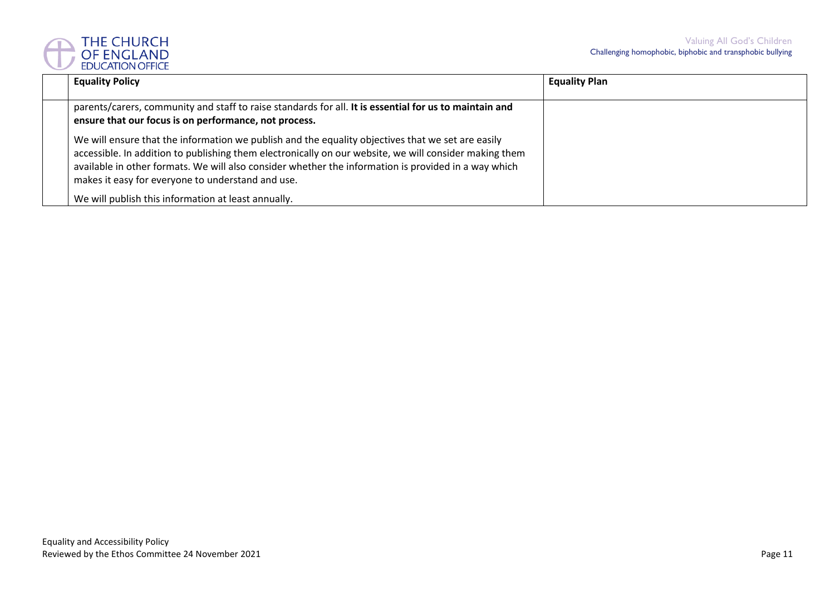

| <b>Equality Policy</b>                                                                                                                                                                                                                                                                                                                                                   | <b>Equality Plan</b> |
|--------------------------------------------------------------------------------------------------------------------------------------------------------------------------------------------------------------------------------------------------------------------------------------------------------------------------------------------------------------------------|----------------------|
| parents/carers, community and staff to raise standards for all. It is essential for us to maintain and<br>ensure that our focus is on performance, not process.                                                                                                                                                                                                          |                      |
| We will ensure that the information we publish and the equality objectives that we set are easily<br>accessible. In addition to publishing them electronically on our website, we will consider making them<br>available in other formats. We will also consider whether the information is provided in a way which<br>makes it easy for everyone to understand and use. |                      |
| We will publish this information at least annually.                                                                                                                                                                                                                                                                                                                      |                      |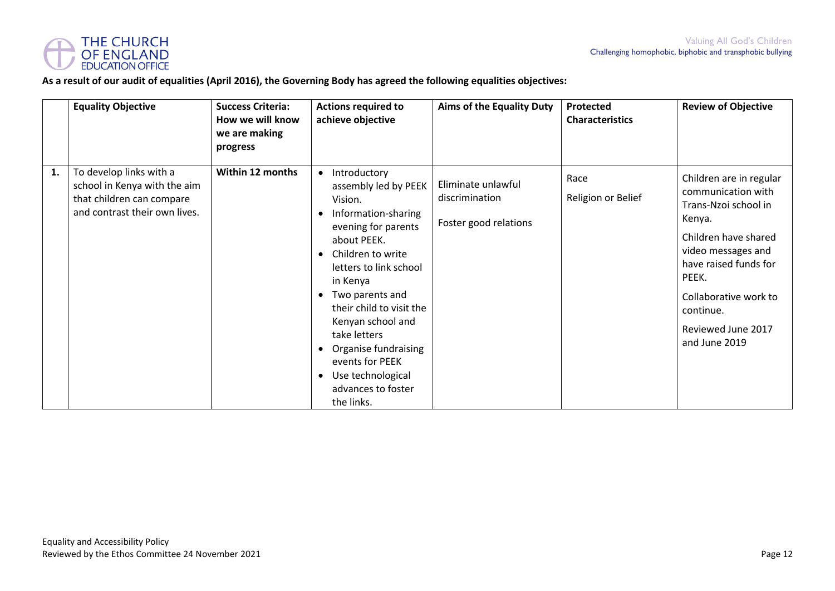

#### **As a result of our audit of equalities (April 2016), the Governing Body has agreed the following equalities objectives:**

|    | <b>Equality Objective</b>                                                                                             | <b>Success Criteria:</b><br>How we will know<br>we are making<br>progress | <b>Actions required to</b><br>achieve objective                                                                                                                                                                                                                                                                                                                                                                                               | <b>Aims of the Equality Duty</b>                              | Protected<br><b>Characteristics</b> | <b>Review of Objective</b>                                                                                                                                                                                                                   |
|----|-----------------------------------------------------------------------------------------------------------------------|---------------------------------------------------------------------------|-----------------------------------------------------------------------------------------------------------------------------------------------------------------------------------------------------------------------------------------------------------------------------------------------------------------------------------------------------------------------------------------------------------------------------------------------|---------------------------------------------------------------|-------------------------------------|----------------------------------------------------------------------------------------------------------------------------------------------------------------------------------------------------------------------------------------------|
| 1. | To develop links with a<br>school in Kenya with the aim<br>that children can compare<br>and contrast their own lives. | Within 12 months                                                          | Introductory<br>$\bullet$<br>assembly led by PEEK<br>Vision.<br>Information-sharing<br>$\bullet$<br>evening for parents<br>about PEEK.<br>Children to write<br>$\bullet$<br>letters to link school<br>in Kenya<br>Two parents and<br>$\bullet$<br>their child to visit the<br>Kenyan school and<br>take letters<br>Organise fundraising<br>$\bullet$<br>events for PEEK<br>Use technological<br>$\bullet$<br>advances to foster<br>the links. | Eliminate unlawful<br>discrimination<br>Foster good relations | Race<br>Religion or Belief          | Children are in regular<br>communication with<br>Trans-Nzoi school in<br>Kenya.<br>Children have shared<br>video messages and<br>have raised funds for<br>PEEK.<br>Collaborative work to<br>continue.<br>Reviewed June 2017<br>and June 2019 |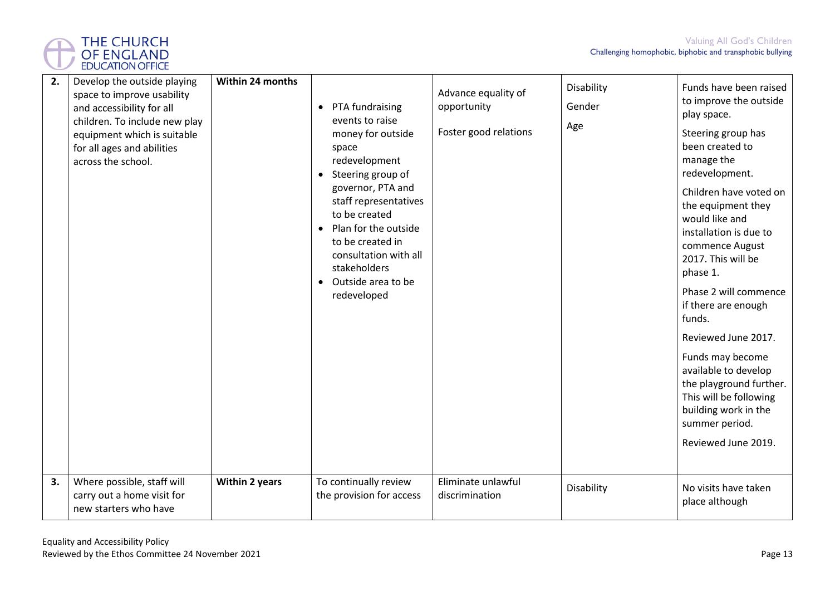

| 2. | Develop the outside playing<br>space to improve usability<br>and accessibility for all<br>children. To include new play<br>equipment which is suitable<br>for all ages and abilities<br>across the school. | Within 24 months | PTA fundraising<br>$\bullet$<br>events to raise<br>money for outside<br>space<br>redevelopment<br>Steering group of<br>$\bullet$<br>governor, PTA and<br>staff representatives<br>to be created<br>Plan for the outside<br>$\bullet$<br>to be created in<br>consultation with all<br>stakeholders<br>• Outside area to be<br>redeveloped | Advance equality of<br>opportunity<br>Foster good relations | Disability<br>Gender<br>Age | Funds have been raised<br>to improve the outside<br>play space.<br>Steering group has<br>been created to<br>manage the<br>redevelopment.<br>Children have voted on<br>the equipment they<br>would like and<br>installation is due to<br>commence August<br>2017. This will be<br>phase 1.<br>Phase 2 will commence<br>if there are enough<br>funds.<br>Reviewed June 2017.<br>Funds may become<br>available to develop<br>the playground further.<br>This will be following<br>building work in the<br>summer period.<br>Reviewed June 2019. |
|----|------------------------------------------------------------------------------------------------------------------------------------------------------------------------------------------------------------|------------------|------------------------------------------------------------------------------------------------------------------------------------------------------------------------------------------------------------------------------------------------------------------------------------------------------------------------------------------|-------------------------------------------------------------|-----------------------------|----------------------------------------------------------------------------------------------------------------------------------------------------------------------------------------------------------------------------------------------------------------------------------------------------------------------------------------------------------------------------------------------------------------------------------------------------------------------------------------------------------------------------------------------|
| 3. | Where possible, staff will<br>carry out a home visit for<br>new starters who have                                                                                                                          | Within 2 years   | To continually review<br>the provision for access                                                                                                                                                                                                                                                                                        | Eliminate unlawful<br>discrimination                        | Disability                  | No visits have taken<br>place although                                                                                                                                                                                                                                                                                                                                                                                                                                                                                                       |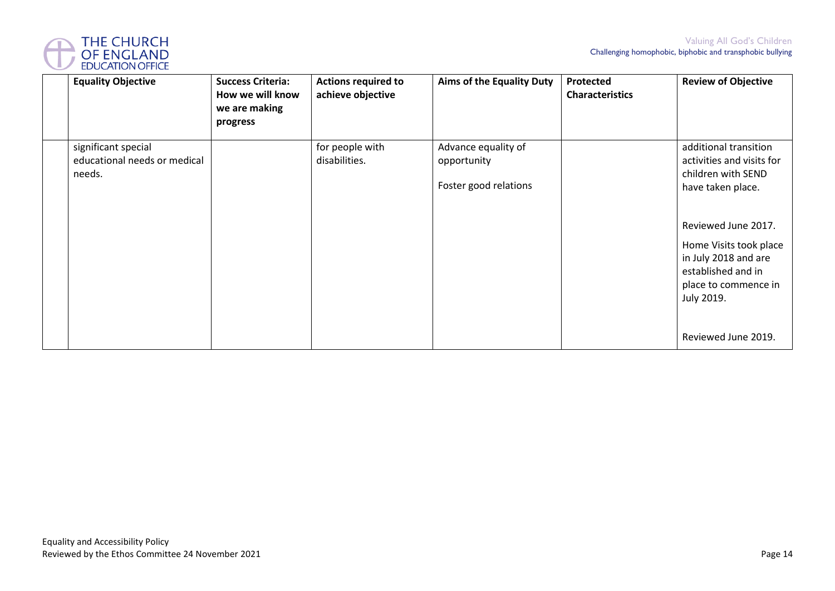

|                                                               | How we will know<br>we are making<br>progress | achieve objective                | <b>Aims of the Equality Duty</b>                            | <b>Characteristics</b> | <b>Review of Objective</b>                                                                                                                                                                                                                                |
|---------------------------------------------------------------|-----------------------------------------------|----------------------------------|-------------------------------------------------------------|------------------------|-----------------------------------------------------------------------------------------------------------------------------------------------------------------------------------------------------------------------------------------------------------|
| significant special<br>educational needs or medical<br>needs. |                                               | for people with<br>disabilities. | Advance equality of<br>opportunity<br>Foster good relations |                        | additional transition<br>activities and visits for<br>children with SEND<br>have taken place.<br>Reviewed June 2017.<br>Home Visits took place<br>in July 2018 and are<br>established and in<br>place to commence in<br>July 2019.<br>Reviewed June 2019. |